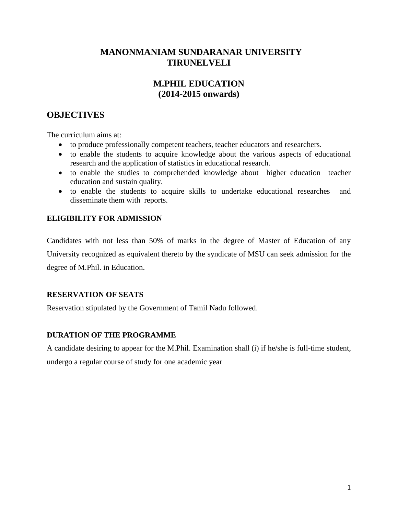## **MANONMANIAM SUNDARANAR UNIVERSITY TIRUNELVELI**

# **M.PHIL EDUCATION (2014-2015 onwards)**

# **OBJECTIVES**

The curriculum aims at:

- to produce professionally competent teachers, teacher educators and researchers.
- to enable the students to acquire knowledge about the various aspects of educational research and the application of statistics in educational research.
- to enable the studies to comprehended knowledge about higher education teacher education and sustain quality.
- to enable the students to acquire skills to undertake educational researches and disseminate them with reports.

## **ELIGIBILITY FOR ADMISSION**

Candidates with not less than 50% of marks in the degree of Master of Education of any University recognized as equivalent thereto by the syndicate of MSU can seek admission for the degree of M.Phil. in Education.

## **RESERVATION OF SEATS**

Reservation stipulated by the Government of Tamil Nadu followed.

## **DURATION OF THE PROGRAMME**

A candidate desiring to appear for the M.Phil. Examination shall (i) if he/she is full-time student, undergo a regular course of study for one academic year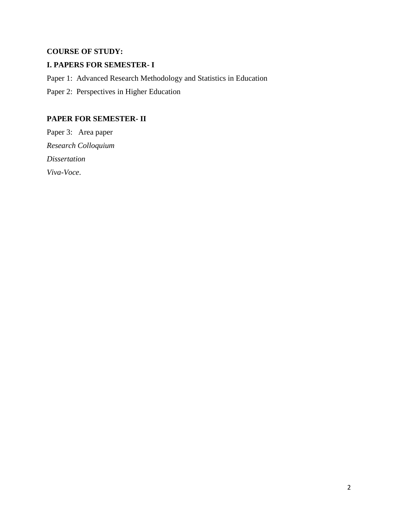# **COURSE OF STUDY:**

## **I. PAPERS FOR SEMESTER- I**

Paper 1: Advanced Research Methodology and Statistics in Education Paper 2: Perspectives in Higher Education

## **PAPER FOR SEMESTER- II**

Paper 3: Area paper *Research Colloquium Dissertation Viva-Voce*.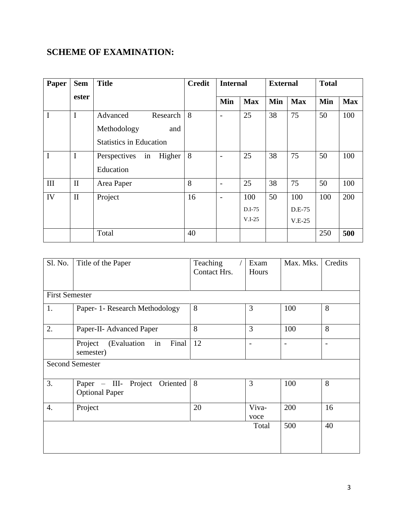# **SCHEME OF EXAMINATION:**

| Paper | <b>Sem</b>   | <b>Title</b>                   | <b>Credit</b> | <b>Internal</b> |            | <b>External</b> |            | <b>Total</b> |            |
|-------|--------------|--------------------------------|---------------|-----------------|------------|-----------------|------------|--------------|------------|
|       | ester        |                                |               | Min             | <b>Max</b> | Min             | <b>Max</b> | Min          | <b>Max</b> |
| I     | $\mathbf I$  | Advanced<br>Research           | 8             | $\overline{a}$  | 25         | 38              | 75         | 50           | 100        |
|       |              | Methodology<br>and             |               |                 |            |                 |            |              |            |
|       |              | <b>Statistics in Education</b> |               |                 |            |                 |            |              |            |
| I     | $\mathbf I$  | Perspectives<br>Higher<br>in   | 8             | ۰               | 25         | 38              | 75         | 50           | 100        |
|       |              | Education                      |               |                 |            |                 |            |              |            |
| III   | $\mathbf{I}$ | Area Paper                     | 8             | $\overline{a}$  | 25         | 38              | 75         | 50           | 100        |
| IV    | $\mathbf{I}$ | Project                        | 16            | $\overline{a}$  | 100        | 50              | 100        | 100          | 200        |
|       |              |                                |               |                 | D.I-75     |                 | D.E-75     |              |            |
|       |              |                                |               |                 | $V.I-25$   |                 | $V.E-25$   |              |            |
|       |              | Total                          | 40            |                 |            |                 |            | 250          | 500        |

| Sl. No.                | Title of the Paper                                        | Teaching<br>Contact Hrs. | Exam<br>Hours | Max. Mks. | Credits                  |  |
|------------------------|-----------------------------------------------------------|--------------------------|---------------|-----------|--------------------------|--|
| <b>First Semester</b>  |                                                           |                          |               |           |                          |  |
| 1.                     | Paper- 1- Research Methodology                            | 8                        | 3             | 100       | 8                        |  |
| 2.                     | Paper-II- Advanced Paper                                  | 8                        | 3             | 100       | 8                        |  |
|                        | in<br>Project<br>Final<br>(Evaluation<br>semester)        | 12                       |               |           | $\overline{\phantom{0}}$ |  |
| <b>Second Semester</b> |                                                           |                          |               |           |                          |  |
| 3.                     | Paper - III- Project<br>Oriented<br><b>Optional Paper</b> | 8                        | 3             | 100       | 8                        |  |
| $\overline{4}$ .       | Project                                                   | 20                       | Viva-<br>voce | 200       | 16                       |  |
|                        |                                                           |                          | Total         | 500       | 40                       |  |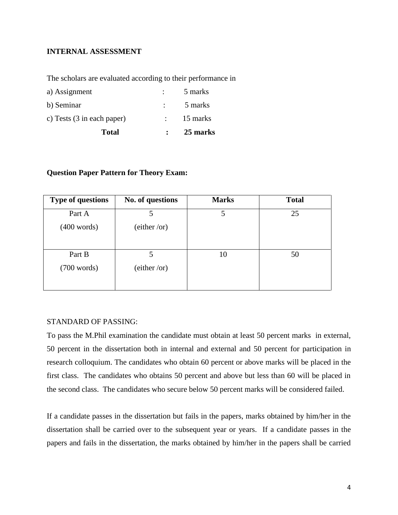### **INTERNAL ASSESSMENT**

The scholars are evaluated according to their performance in

| <b>Total</b>               | 25 marks |
|----------------------------|----------|
| c) Tests (3 in each paper) | 15 marks |
| b) Seminar                 | 5 marks  |
| a) Assignment              | 5 marks  |

#### **Question Paper Pattern for Theory Exam:**

| <b>Type of questions</b> | No. of questions | <b>Marks</b> | <b>Total</b> |
|--------------------------|------------------|--------------|--------------|
| Part A                   | 5                | 5            | 25           |
| $(400 \text{ words})$    | (either/or)      |              |              |
| Part B                   | 5                | 10           | 50           |
| (700 words)              | (either/or)      |              |              |

#### STANDARD OF PASSING:

To pass the M.Phil examination the candidate must obtain at least 50 percent marks in external, 50 percent in the dissertation both in internal and external and 50 percent for participation in research colloquium. The candidates who obtain 60 percent or above marks will be placed in the first class. The candidates who obtains 50 percent and above but less than 60 will be placed in the second class. The candidates who secure below 50 percent marks will be considered failed.

If a candidate passes in the dissertation but fails in the papers, marks obtained by him/her in the dissertation shall be carried over to the subsequent year or years. If a candidate passes in the papers and fails in the dissertation, the marks obtained by him/her in the papers shall be carried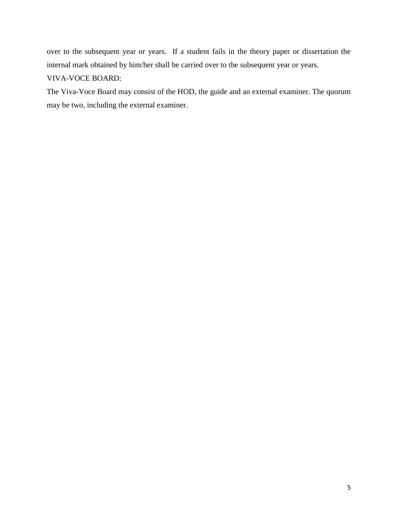over to the subsequent year or years. If a student fails in the theory paper or dissertation the internal mark obtained by him/her shall be carried over to the subsequent year or years.

## VIVA-VOCE BOARD:

The Viva-Voce Board may consist of the HOD, the guide and an external examiner. The quorum may be two, including the external examiner.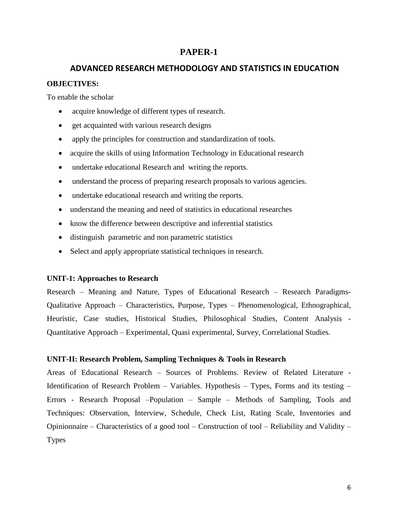### **PAPER-1**

## **ADVANCED RESEARCH METHODOLOGY AND STATISTICS IN EDUCATION**

#### **OBJECTIVES:**

To enable the scholar

- acquire knowledge of different types of research.
- get acquainted with various research designs
- apply the principles for construction and standardization of tools.
- acquire the skills of using Information Technology in Educational research
- undertake educational Research and writing the reports.
- understand the process of preparing research proposals to various agencies.
- undertake educational research and writing the reports.
- understand the meaning and need of statistics in educational researches
- know the difference between descriptive and inferential statistics
- distinguish parametric and non parametric statistics
- Select and apply appropriate statistical techniques in research.

### **UNIT-1: Approaches to Research**

Research – Meaning and Nature, Types of Educational Research – Research Paradigms-Qualitative Approach – Characteristics, Purpose, Types – Phenomenological, Ethnographical, Heuristic, Case studies, Historical Studies, Philosophical Studies, Content Analysis - Quantitative Approach – Experimental, Quasi experimental, Survey, Correlational Studies.

### **UNIT-II: Research Problem, Sampling Techniques & Tools in Research**

Areas of Educational Research – Sources of Problems. Review of Related Literature - Identification of Research Problem – Variables. Hypothesis – Types, Forms and its testing – Errors - Research Proposal –Population – Sample – Methods of Sampling, Tools and Techniques: Observation, Interview, Schedule, Check List, Rating Scale, Inventories and Opinionnaire – Characteristics of a good tool – Construction of tool – Reliability and Validity – Types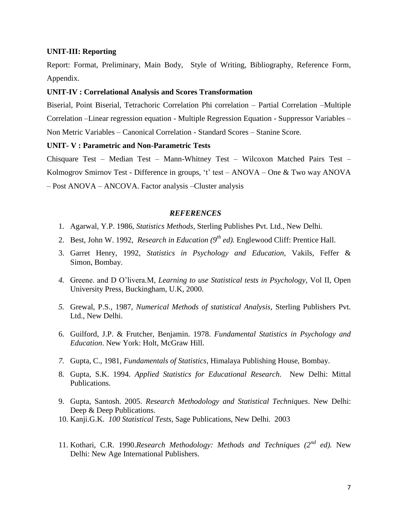#### **UNIT-III: Reporting**

Report: Format, Preliminary, Main Body, Style of Writing, Bibliography, Reference Form, Appendix.

#### **UNIT-IV : Correlational Analysis and Scores Transformation**

Biserial, Point Biserial, Tetrachoric Correlation Phi correlation – Partial Correlation –Multiple Correlation –Linear regression equation - Multiple Regression Equation - Suppressor Variables – Non Metric Variables – Canonical Correlation - Standard Scores – Stanine Score.

#### **UNIT- V : Parametric and Non-Parametric Tests**

Chisquare Test – Median Test – Mann-Whitney Test – Wilcoxon Matched Pairs Test – Kolmogrov Smirnov Test - Difference in groups, 't' test – ANOVA – One & Two way ANOVA – Post ANOVA – ANCOVA. Factor analysis –Cluster analysis

#### *REFERENCES*

- 1. Agarwal, Y.P. 1986, *Statistics Methods*, Sterling Publishes Pvt. Ltd., New Delhi.
- 2. Best, John W. 1992, *Research in Education (9th ed).* Englewood Cliff: Prentice Hall.
- 3. Garret Henry, 1992, *Statistics in Psychology and Education,* Vakils, Feffer & Simon, Bombay.
- *4.* Greene. and D O'livera.M, *Learning to use Statistical tests in Psychology,* Vol II, Open University Press, Buckingham, U.K, 2000.
- *5.* Grewal, P.S., 1987, *Numerical Methods of statistical Analysis,* Sterling Publishers Pvt. Ltd., New Delhi.
- 6. Guilford, J.P. & Frutcher, Benjamin. 1978. *Fundamental Statistics in Psychology and Education*. New York: Holt, McGraw Hill.
- *7.* Gupta, C., 1981, *Fundamentals of Statistics,* Himalaya Publishing House, Bombay.
- 8. Gupta, S.K. 1994. *Applied Statistics for Educational Research*. New Delhi: Mittal Publications.
- 9. Gupta, Santosh. 2005. *Research Methodology and Statistical Techniques*. New Delhi: Deep & Deep Publications.
- 10. Kanji.G.K. *100 Statistical Tests*, Sage Publications, New Delhi. 2003
- 11. Kothari, C.R. 1990.*Research Methodology: Methods and Techniques (2nd ed).* New Delhi: New Age International Publishers.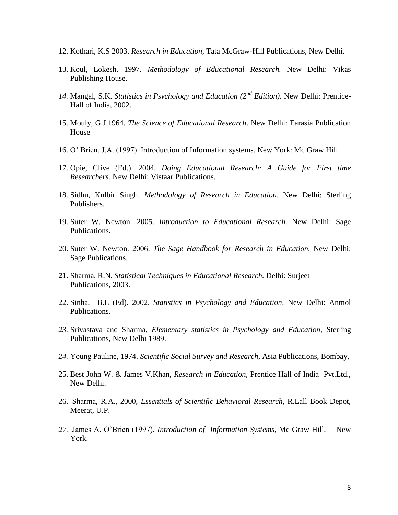- 12. Kothari, K.S 2003. *Research in Education,* Tata McGraw-Hill Publications, New Delhi.
- 13. Koul, Lokesh. 1997. *Methodology of Educational Research.* New Delhi: Vikas Publishing House.
- *14.* Mangal, S.K. *Statistics in Psychology and Education (2nd Edition).* New Delhi: Prentice-Hall of India, 2002.
- 15. Mouly, G.J.1964. *The Science of Educational Research*. New Delhi: Earasia Publication House
- 16. O' Brien, J.A. (1997). Introduction of Information systems. New York: Mc Graw Hill.
- 17. Opie, Clive (Ed.). 2004*. Doing Educational Research: A Guide for First time Researchers.* New Delhi: Vistaar Publications.
- 18. Sidhu, Kulbir Singh. *Methodology of Research in Education*. New Delhi: Sterling Publishers.
- 19. Suter W. Newton. 2005. *Introduction to Educational Research*. New Delhi: Sage Publications.
- 20. Suter W. Newton. 2006. *The Sage Handbook for Research in Education.* New Delhi: Sage Publications.
- **21.** Sharma, R.N. *Statistical Techniques in Educational Research.* Delhi: Surjeet Publications, 2003.
- 22. Sinha, B.L (Ed). 2002. *Statistics in Psychology and Education*. New Delhi: Anmol Publications.
- *23.* Srivastava and Sharma, *Elementary statistics in Psychology and Education,* Sterling Publications, New Delhi 1989.
- *24.* Young Pauline, 1974. *Scientific Social Survey and Research*, Asia Publications, Bombay,
- 25. Best John W. & James V.Khan, *Research in Education,* Prentice Hall of India Pvt.Ltd., New Delhi.
- 26. Sharma, R.A., 2000, *Essentials of Scientific Behavioral Research,* R.Lall Book Depot, Meerat, U.P.
- *27.* James A. O'Brien (1997), *Introduction of Information Systems,* Mc Graw Hill, New York.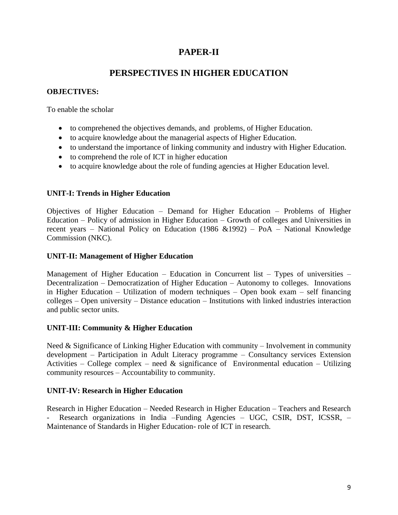# **PAPER-II**

# **PERSPECTIVES IN HIGHER EDUCATION**

### **OBJECTIVES:**

To enable the scholar

- to comprehened the objectives demands, and problems, of Higher Education.
- to acquire knowledge about the managerial aspects of Higher Education.
- to understand the importance of linking community and industry with Higher Education.
- to comprehend the role of ICT in higher education
- to acquire knowledge about the role of funding agencies at Higher Education level.

## **UNIT-I: Trends in Higher Education**

Objectives of Higher Education – Demand for Higher Education – Problems of Higher Education – Policy of admission in Higher Education – Growth of colleges and Universities in recent years – National Policy on Education (1986 &1992) – PoA – National Knowledge Commission (NKC).

## **UNIT-II: Management of Higher Education**

Management of Higher Education – Education in Concurrent list – Types of universities – Decentralization – Democratization of Higher Education – Autonomy to colleges. Innovations in Higher Education – Utilization of modern techniques – Open book exam – self financing colleges – Open university – Distance education – Institutions with linked industries interaction and public sector units.

### **UNIT-III: Community & Higher Education**

Need & Significance of Linking Higher Education with community – Involvement in community development – Participation in Adult Literacy programme – Consultancy services Extension Activities – College complex – need  $\&$  significance of Environmental education – Utilizing community resources – Accountability to community.

### **UNIT-IV: Research in Higher Education**

Research in Higher Education – Needed Research in Higher Education – Teachers and Research - Research organizations in India –Funding Agencies – UGC, CSIR, DST, ICSSR, – Maintenance of Standards in Higher Education- role of ICT in research.